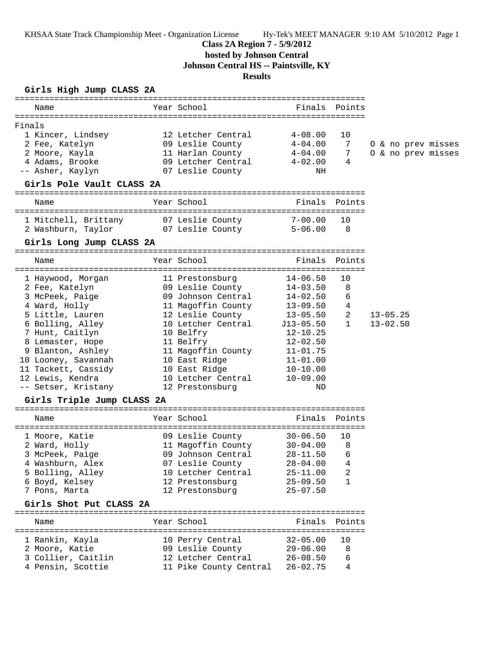KHSAA State Track Championship Meet - Organization License Hy-Tek's MEET MANAGER 9:10 AM 5/10/2012 Page 1

## **Class 2A Region 7 - 5/9/2012**

**hosted by Johnson Central**

**Johnson Central HS -- Paintsville, KY**

## **Results**

## **Girls High Jump CLASS 2A**

| Name                                                     | Year School<br>Example 31 Finals Points Points                            |                                       |                            |                    |  |
|----------------------------------------------------------|---------------------------------------------------------------------------|---------------------------------------|----------------------------|--------------------|--|
|                                                          |                                                                           |                                       |                            |                    |  |
| Finals                                                   |                                                                           |                                       |                            |                    |  |
| 1 Kincer, Lindsey                                        | 12 Letcher Central                                                        | $4\negmedspace-\negmedspace08$ . $00$ | 10                         |                    |  |
| 2 Fee, Katelyn                                           | 09 Leslie County                                                          | $4 - 04.00$                           | 7                          | 0 & no prev misses |  |
| 2 Moore, Kayla                                           | 11 Harlan County                                                          | $4 - 04.00$                           | 7                          | O & no prev misses |  |
| 4 Adams, Brooke                                          | 09 Letcher Central                                                        | $4 - 02.00$                           | 4                          |                    |  |
| -- Asher, Kaylyn                                         | 07 Leslie County                                                          | NH                                    |                            |                    |  |
| Girls Pole Vault CLASS 2A                                |                                                                           |                                       |                            |                    |  |
| Name                                                     | Year School                                                               |                                       | Finals Points              |                    |  |
|                                                          |                                                                           |                                       |                            |                    |  |
| 1 Mitchell, Brittany 07 Leslie County 7-00.00            |                                                                           |                                       | 10                         |                    |  |
| 2 Washburn, Taylor <sup>1</sup> 07 Leslie County 5-06.00 |                                                                           |                                       | $\overline{\phantom{0}}$ 8 |                    |  |
| Girls Long Jump CLASS 2A                                 |                                                                           |                                       |                            |                    |  |
| Name                                                     | Year School                                                               |                                       | Finals Points              |                    |  |
|                                                          |                                                                           |                                       |                            |                    |  |
| 1 Haywood, Morgan 11 Prestonsburg                        |                                                                           | $14 - 06.50$                          | 10                         |                    |  |
| 2 Fee, Katelyn                                           | 09 Leslie County                                                          | $14 - 03.50$                          | 8                          |                    |  |
| 3 McPeek, Paige                                          | 09 Johnson Central                                                        | $14 - 02.50$                          | 6                          |                    |  |
| 4 Ward, Holly                                            |                                                                           |                                       | 4                          |                    |  |
| 5 Little, Lauren                                         | 11 Magoffin County         13-09.50<br>12 Leslie County          13-05.50 |                                       | $\overline{2}$             | $13 - 05.25$       |  |
| 6 Bolling, Alley                                         | 10 Letcher Central 513-05.50                                              |                                       | $\mathbf{1}$               | $13 - 02.50$       |  |
| 7 Hunt, Caitlyn                                          | 10 Belfry                                                                 | $12 - 10.25$                          |                            |                    |  |
| 8 Lemaster, Hope<br>11 Belfry                            |                                                                           | $12 - 02.50$                          |                            |                    |  |
| 9 Blanton, Ashley                                        | 11 Magoffin County 11-01.75                                               |                                       |                            |                    |  |
| 10 Looney, Savannah                                      | 10 East Ridge                                                             | $11 - 01.00$                          |                            |                    |  |
| 11 Tackett, Cassidy                                      | 10 East Ridge                                                             | $10 - 10.00$                          |                            |                    |  |
| 12 Lewis, Kendra                                         | 10 Letcher Central                                                        | $10 - 09.00$                          |                            |                    |  |
| -- Setser, Kristany                                      | 12 Prestonsburg                                                           | ND                                    |                            |                    |  |
| Girls Triple Jump CLASS 2A                               |                                                                           |                                       |                            |                    |  |
| Name                                                     | Year School                                                               |                                       | Finals Points              |                    |  |
|                                                          |                                                                           |                                       |                            |                    |  |
| 1 Moore, Katie                                           | 09 Leslie County                                                          | $30 - 06.50$                          | 10                         |                    |  |
| 2 Ward, Holly                                            | 11 Magoffin County 30-04.00                                               |                                       | 8                          |                    |  |
| 3 McPeek, Paige                                          | 09 Johnson Central 28-11.50                                               |                                       | 6                          |                    |  |
| 4 Washburn, Alex                                         | 07 Leslie County                                                          | $28 - 04.00$ 4                        |                            |                    |  |
| 5 Bolling, Alley                                         | 10 Letcher Central                                                        | $25 - 11.00$                          | 2                          |                    |  |
| 6 Boyd, Kelsey                                           | 12 Prestonsburg                                                           | $25 - 09.50$                          | 1                          |                    |  |
| 7 Pons, Marta                                            | 12 Prestonsburg                                                           | $25 - 07.50$                          |                            |                    |  |
| Girls Shot Put CLASS 2A                                  |                                                                           |                                       |                            |                    |  |
| Name                                                     | Year School                                                               |                                       | Finals Points              |                    |  |
|                                                          |                                                                           |                                       |                            |                    |  |
| 1 Rankin, Kayla                                          | 10 Perry Central                                                          | $32 - 05.00$                          | 10                         |                    |  |
| 2 Moore, Katie                                           | 09 Leslie County                                                          | $29 - 06.00$                          | 8                          |                    |  |
| 3 Collier, Caitlin                                       | 12 Letcher Central                                                        | $26 - 08.50$                          | 6                          |                    |  |
| 4 Pensin, Scottie                                        | 11 Pike County Central                                                    | $26 - 02.75$                          | 4                          |                    |  |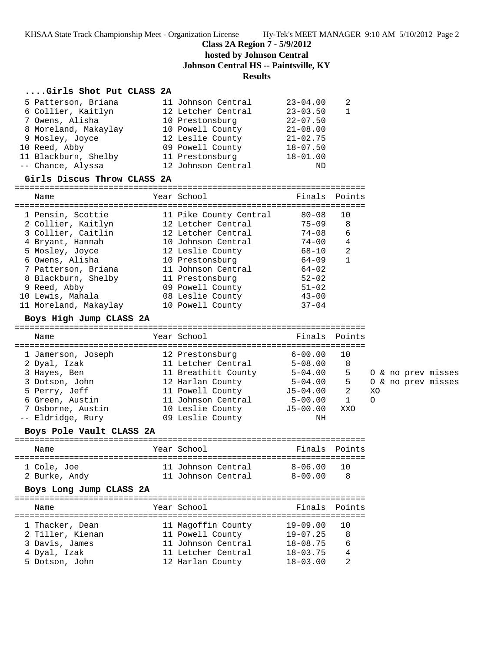KHSAA State Track Championship Meet - Organization License Hy-Tek's MEET MANAGER 9:10 AM 5/10/2012 Page 2

**Class 2A Region 7 - 5/9/2012**

**hosted by Johnson Central**

**Johnson Central HS -- Paintsville, KY**

### **Results**

#### **....Girls Shot Put CLASS 2A**

| 5 Patterson, Briana  | 11 Johnson Central | $23 - 04.00$ | 2 |
|----------------------|--------------------|--------------|---|
| 6 Collier, Kaitlyn   | 12 Letcher Central | $23 - 03.50$ |   |
| 7 Owens, Alisha      | 10 Prestonsburg    | $22 - 07.50$ |   |
| 8 Moreland, Makaylay | 10 Powell County   | $21 - 08.00$ |   |
| 9 Mosley, Joyce      | 12 Leslie County   | $21 - 02.75$ |   |
| 10 Reed, Abby        | 09 Powell County   | $18 - 07.50$ |   |
| 11 Blackburn, Shelby | 11 Prestonsburg    | $18 - 01.00$ |   |
| -- Chance, Alyssa    | 12 Johnson Central | ND           |   |

#### **Girls Discus Throw CLASS 2A**

=======================================================================

| Name                  | Year School            | Finals    | Points       |
|-----------------------|------------------------|-----------|--------------|
| 1 Pensin, Scottie     | 11 Pike County Central | 80-08     | 10           |
| 2 Collier, Kaitlyn    | 12 Letcher Central     | $75 - 09$ | - 8          |
| 3 Collier, Caitlin    | 12 Letcher Central     | $74 - 08$ | 6            |
| 4 Bryant, Hannah      | 10 Johnson Central     | $74 - 00$ | 4            |
| 5 Mosley, Joyce       | 12 Leslie County       | $68 - 10$ | 2            |
| 6 Owens, Alisha       | 10 Prestonsburg        | 64-09     | $\mathbf{1}$ |
| 7 Patterson, Briana   | 11 Johnson Central     | $64 - 02$ |              |
| 8 Blackburn, Shelby   | 11 Prestonsburg        | $52 - 02$ |              |
| 9 Reed, Abby          | 09 Powell County       | $51 - 02$ |              |
| 10 Lewis, Mahala      | 08 Leslie County       | $43 - 00$ |              |
| 11 Moreland, Makaylay | 10 Powell County       | $37 - 04$ |              |

#### **Boys High Jump CLASS 2A**

### ======================================================================= Name The Year School The Finals Points ======================================================================= 1 Jamerson, Joseph 12 Prestonsburg 6-00.00 10 2 Dyal, Izak 11 Letcher Central 5-08.00 8 3 Hayes, Ben 11 Breathitt County 5-04.00 5 O & no prev misses 3 Dotson, John 12 Harlan County 5-04.00 5 O & no prev misses 5 Perry, Jeff 11 Powell County J5-04.00 2 XO 6 Green, Austin 11 Johnson Central 5-00.00 1 O 7 Osborne, Austin 10 Leslie County J5-00.00 XXO -- Eldridge, Rury 09 Leslie County NH

#### **Boys Pole Vault CLASS 2A**

======================================================================= Name The Year School The Finals Points ======================================================================= 1 Cole, Joe 11 Johnson Central 8-06.00 10 2 Burke, Andy 11 Johnson Central 8-00.00 8

### **Boys Long Jump CLASS 2A**

| Name             | Year School        | Finals Points |                 |
|------------------|--------------------|---------------|-----------------|
| 1 Thacker, Dean  | 11 Magoffin County | 19-09.00      | $\overline{10}$ |
| 2 Tiller, Kienan | 11 Powell County   | $19 - 07.25$  | -8              |
| 3 Davis, James   | 11 Johnson Central | $18 - 08.75$  | 6               |
| 4 Dyal, Izak     | 11 Letcher Central | $18 - 03.75$  | 4               |
| 5 Dotson, John   | 12 Harlan County   | $18 - 03.00$  | っ               |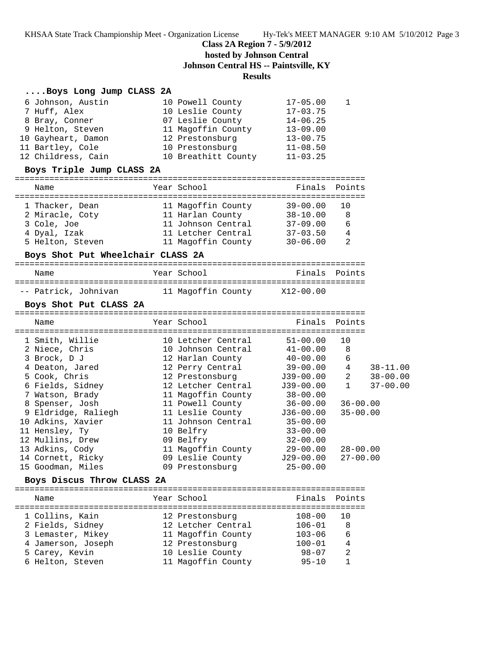KHSAA State Track Championship Meet - Organization License Hy-Tek's MEET MANAGER 9:10 AM 5/10/2012 Page 3

## **Class 2A Region 7 - 5/9/2012**

**hosted by Johnson Central**

**Johnson Central HS -- Paintsville, KY**

# **Results**

## **....Boys Long Jump CLASS 2A**

| 6 Johnson, Austin<br>7 Huff, Alex<br>8 Bray, Conner<br>9 Helton, Steven<br>10 Gayheart, Damon<br>11 Bartley, Cole<br>12 Childress, Cain                                                                                                                                                        | 10 Powell County<br>10 Leslie County<br>07 Leslie County<br>11 Magoffin County<br>12 Prestonsburg<br>10 Prestonsburg<br>10 Breathitt County                                                                                                                                                          | $17 - 05.00$<br>$17 - 03.75$<br>$14 - 06.25$<br>$13 - 09.00$<br>$13 - 00.75$<br>$11 - 08.50$<br>$11 - 03.25$                                                                                                                           | 1                                                                                                      |                                              |
|------------------------------------------------------------------------------------------------------------------------------------------------------------------------------------------------------------------------------------------------------------------------------------------------|------------------------------------------------------------------------------------------------------------------------------------------------------------------------------------------------------------------------------------------------------------------------------------------------------|----------------------------------------------------------------------------------------------------------------------------------------------------------------------------------------------------------------------------------------|--------------------------------------------------------------------------------------------------------|----------------------------------------------|
| Boys Triple Jump CLASS 2A                                                                                                                                                                                                                                                                      |                                                                                                                                                                                                                                                                                                      |                                                                                                                                                                                                                                        |                                                                                                        |                                              |
| Name                                                                                                                                                                                                                                                                                           | Year School                                                                                                                                                                                                                                                                                          | Finals Points                                                                                                                                                                                                                          |                                                                                                        |                                              |
| 1 Thacker, Dean<br>2 Miracle, Coty<br>3 Cole, Joe<br>4 Dyal, Izak<br>5 Helton, Steven<br>Boys Shot Put Wheelchair CLASS 2A                                                                                                                                                                     | 11 Magoffin County<br>11 Harlan County<br>11 Johnson Central<br>11 Letcher Central<br>11 Magoffin County                                                                                                                                                                                             | $39 - 00.00$<br>38-10.00<br>$37 - 09.00$<br>$37 - 03.50$<br>$30 - 06.00$                                                                                                                                                               | 10<br>8<br>6<br>4<br>2                                                                                 |                                              |
| Name                                                                                                                                                                                                                                                                                           | Year School                                                                                                                                                                                                                                                                                          |                                                                                                                                                                                                                                        | Finals Points                                                                                          |                                              |
| -- Patrick, Johnivan                                                                                                                                                                                                                                                                           | 11 Magoffin County X12-00.00                                                                                                                                                                                                                                                                         |                                                                                                                                                                                                                                        |                                                                                                        |                                              |
| Boys Shot Put CLASS 2A                                                                                                                                                                                                                                                                         |                                                                                                                                                                                                                                                                                                      |                                                                                                                                                                                                                                        |                                                                                                        |                                              |
| Name                                                                                                                                                                                                                                                                                           | Year School                                                                                                                                                                                                                                                                                          | Finals                                                                                                                                                                                                                                 | Points                                                                                                 |                                              |
| 1 Smith, Willie<br>2 Niece, Chris<br>3 Brock, D J<br>4 Deaton, Jared<br>5 Cook, Chris<br>6 Fields, Sidney<br>7 Watson, Brady<br>8 Spenser, Josh<br>9 Eldridge, Raliegh<br>10 Adkins, Xavier<br>11 Hensley, Ty<br>12 Mullins, Drew<br>13 Adkins, Cody<br>14 Cornett, Ricky<br>15 Goodman, Miles | 10 Letcher Central<br>10 Johnson Central<br>12 Harlan County<br>12 Perry Central<br>12 Prestonsburg<br>12 Letcher Central<br>11 Magoffin County<br>11 Powell County<br>11 Leslie County<br>11 Johnson Central<br>10 Belfry<br>09 Belfry<br>11 Magoffin County<br>09 Leslie County<br>09 Prestonsburg | $51 - 00.00$<br>$41 - 00.00$<br>$40 - 00.00$<br>$39 - 00.00$<br>J39-00.00<br>$J39-00.00$<br>$38 - 00.00$<br>$36 - 00.00$<br>$J36-00.00$<br>$35 - 00.00$<br>$33 - 00.00$<br>$32 - 00.00$<br>$29 - 00.00$<br>$J29-00.00$<br>$25 - 00.00$ | 10<br>8<br>6<br>4<br>2<br>$\mathbf{1}$<br>$36 - 00.00$<br>$35 - 00.00$<br>$28 - 00.00$<br>$27 - 00.00$ | $38 - 11.00$<br>$38 - 00.00$<br>$37 - 00.00$ |
| Boys Discus Throw CLASS 2A<br>Name                                                                                                                                                                                                                                                             | Year School                                                                                                                                                                                                                                                                                          | Finals                                                                                                                                                                                                                                 | Points                                                                                                 |                                              |
|                                                                                                                                                                                                                                                                                                |                                                                                                                                                                                                                                                                                                      |                                                                                                                                                                                                                                        |                                                                                                        |                                              |

| 1 Collins, Kain    | 12 Prestonsburg    | $108 - 00$ | 10            |
|--------------------|--------------------|------------|---------------|
| 2 Fields, Sidney   | 12 Letcher Central | $106 - 01$ | 8             |
| 3 Lemaster, Mikey  | 11 Magoffin County | $103 - 06$ | 6             |
| 4 Jamerson, Joseph | 12 Prestonsburg    | $100 - 01$ |               |
| 5 Carey, Kevin     | 10 Leslie County   | $98 - 07$  | $\mathcal{D}$ |
| 6 Helton, Steven   | 11 Magoffin County | $95 - 10$  |               |
|                    |                    |            |               |